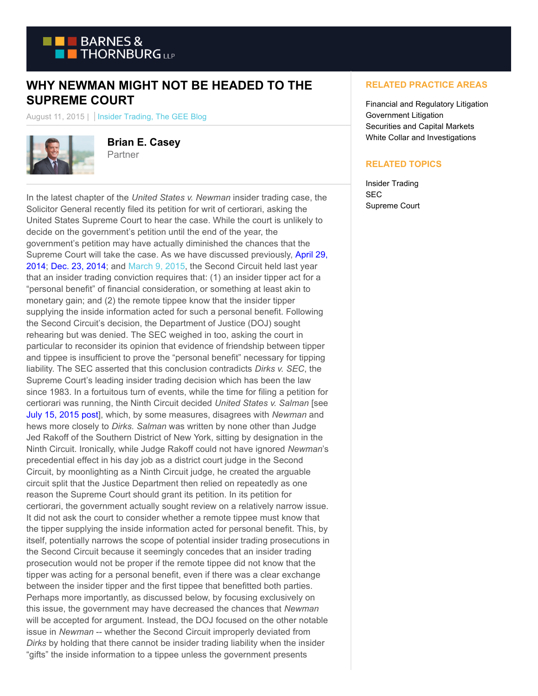

## **WHY NEWMAN MIGHT NOT BE HEADED TO THE SUPREME COURT**

August 11, 2015 | Insider Trading, The GEE Blog



**Brian E. Casey** Partner

In the latest chapter of the *United States v. Newman* insider trading case, the Solicitor General recently filed its petition for writ of certiorari, asking the United States Supreme Court to hear the case. While the court is unlikely to decide on the government's petition until the end of the year, the government's petition may have actually diminished the chances that the Supreme Court will take the case. As we have discussed previously, [April 29,](https://www.btgovtenforcement.com/is-the-second-circuit-about-to-put-the-brakes-on-the-governments-pursuit-of-insider-trading-tippees/) 2014; [Dec. 23, 2014;](https://www.btgovtenforcement.com/criminal-insider-trading-convictions-overturned-in-far-reaching-ruling/) and [March 9, 2015,](https://www.btgovtenforcement.com/hello-newman-government-continues-to-litigate-reversed-insider-trading-convictions/) the Second Circuit held last year that an insider trading conviction requires that: (1) an insider tipper act for a "personal benefit" of financial consideration, or something at least akin to monetary gain; and (2) the remote tippee know that the insider tipper supplying the inside information acted for such a personal benefit. Following the Second Circuit's decision, the Department of Justice (DOJ) sought rehearing but was denied. The SEC weighed in too, asking the court in particular to reconsider its opinion that evidence of friendship between tipper and tippee is insufficient to prove the "personal benefit" necessary for tipping liability. The SEC asserted that this conclusion contradicts *Dirks v. SEC*, the Supreme Court's leading insider trading decision which has been the law since 1983. In a fortuitous turn of events, while the time for filing a petition for certiorari was running, the Ninth Circuit decided *United States v. Salman* [see [July 15, 2015 post\],](https://www.btgovtenforcement.com/ninth-circuit-slaps-back-remote-tippees-newman-defense/) which, by some measures, disagrees with *Newman* and hews more closely to *Dirks*. *Salman* was written by none other than Judge Jed Rakoff of the Southern District of New York, sitting by designation in the Ninth Circuit. Ironically, while Judge Rakoff could not have ignored *Newman*'s precedential effect in his day job as a district court judge in the Second Circuit, by moonlighting as a Ninth Circuit judge, he created the arguable circuit split that the Justice Department then relied on repeatedly as one reason the Supreme Court should grant its petition. In its petition for certiorari, the government actually sought review on a relatively narrow issue. It did not ask the court to consider whether a remote tippee must know that the tipper supplying the inside information acted for personal benefit. This, by itself, potentially narrows the scope of potential insider trading prosecutions in the Second Circuit because it seemingly concedes that an insider trading prosecution would not be proper if the remote tippee did not know that the tipper was acting for a personal benefit, even if there was a clear exchange between the insider tipper and the first tippee that benefitted both parties. Perhaps more importantly, as discussed below, by focusing exclusively on this issue, the government may have decreased the chances that *Newman* will be accepted for argument. Instead, the DOJ focused on the other notable issue in *Newman* -- whether the Second Circuit improperly deviated from *Dirks* by holding that there cannot be insider trading liability when the insider "gifts" the inside information to a tippee unless the government presents

## **RELATED PRACTICE AREAS**

Financial and Regulatory Litigation Government Litigation Securities and Capital Markets White Collar and Investigations

## **RELATED TOPICS**

Insider Trading SEC Supreme Court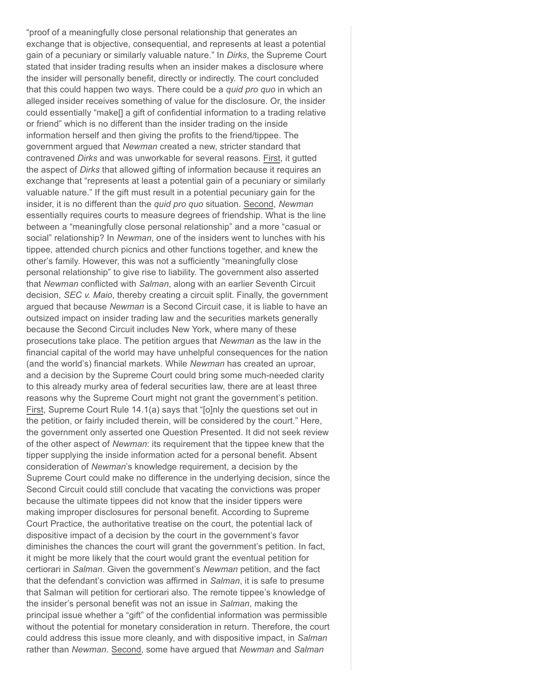"proof of a meaningfully close personal relationship that generates an exchange that is objective, consequential, and represents at least a potential gain of a pecuniary or similarly valuable nature." In *Dirks*, the Supreme Court stated that insider trading results when an insider makes a disclosure where the insider will personally benefit, directly or indirectly. The court concluded that this could happen two ways. There could be a *quid pro quo* in which an alleged insider receives something of value for the disclosure. Or, the insider could essentially "make[] a gift of confidential information to a trading relative or friend" which is no different than the insider trading on the inside information herself and then giving the profits to the friend/tippee. The government argued that *Newman* created a new, stricter standard that contravened *Dirks* and was unworkable for several reasons. First, it gutted the aspect of *Dirks* that allowed gifting of information because it requires an exchange that "represents at least a potential gain of a pecuniary or similarly valuable nature." If the gift must result in a potential pecuniary gain for the insider, it is no different than the *quid pro quo* situation. Second, *Newman* essentially requires courts to measure degrees of friendship. What is the line between a "meaningfully close personal relationship" and a more "casual or social" relationship? In *Newman*, one of the insiders went to lunches with his tippee, attended church picnics and other functions together, and knew the other's family. However, this was not a sufficiently "meaningfully close personal relationship" to give rise to liability. The government also asserted that *Newman* conflicted with *Salman*, along with an earlier Seventh Circuit decision, *SEC v. Maio*, thereby creating a circuit split. Finally, the government argued that because *Newman* is a Second Circuit case, it is liable to have an outsized impact on insider trading law and the securities markets generally because the Second Circuit includes New York, where many of these prosecutions take place. The petition argues that *Newman* as the law in the financial capital of the world may have unhelpful consequences for the nation (and the world's) financial markets. While *Newman* has created an uproar, and a decision by the Supreme Court could bring some much-needed clarity to this already murky area of federal securities law, there are at least three reasons why the Supreme Court might not grant the government's petition. First, Supreme Court Rule 14.1(a) says that "[o]nly the questions set out in the petition, or fairly included therein, will be considered by the court." Here, the government only asserted one Question Presented. It did not seek review of the other aspect of *Newman*: its requirement that the tippee knew that the tipper supplying the inside information acted for a personal benefit. Absent consideration of *Newman*'s knowledge requirement, a decision by the Supreme Court could make no difference in the underlying decision, since the Second Circuit could still conclude that vacating the convictions was proper because the ultimate tippees did not know that the insider tippers were making improper disclosures for personal benefit. According to Supreme Court Practice, the authoritative treatise on the court, the potential lack of dispositive impact of a decision by the court in the government's favor diminishes the chances the court will grant the government's petition. In fact, it might be more likely that the court would grant the eventual petition for certiorari in *Salman*. Given the government's *Newman* petition, and the fact that the defendant's conviction was affirmed in *Salman*, it is safe to presume that Salman will petition for certiorari also. The remote tippee's knowledge of the insider's personal benefit was not an issue in *Salman*, making the principal issue whether a "gift" of the confidential information was permissible without the potential for monetary consideration in return. Therefore, the court could address this issue more cleanly, and with dispositive impact, in *Salman* rather than *Newman*. Second, some have argued that *Newman* and *Salman*